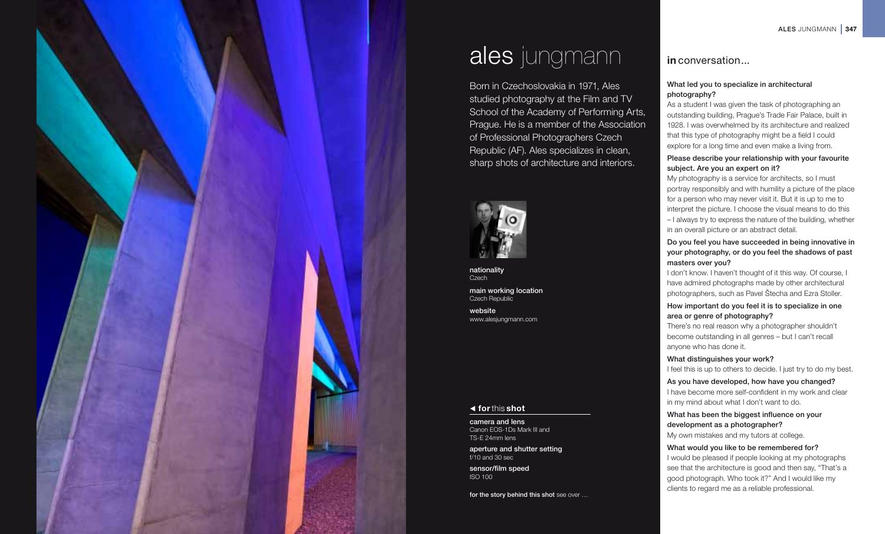## ales jungmann in conversation...

Born in Czechoslovakia in 1971, Ales studied photography at the Film and TV School of the Academy of Performing Arts, Prague. He is a member of the Association of Professional Photographers Czech Republic (AF). Ales specializes in clean, sharp shots of architecture and interiors.



nationality **Czech** 

main working location Czech Republic

website www.alesjungmann.com

#### ◀ forthis shot

camera and lens Canon EOS-1Ds Mark III and TS-E 24mm lens

aperture and shutter setting f/10 and 30 sec

sensor/film speed ISO 100

for the story behind this shot see over ...

### What led you to specialize in architectural photography?

As a student I was given the task of photographing an outstanding building, Prague's Trade Fair Palace, built in 1928. I was overwhelmed by its architecture and realized that this type of photography might be a field I could explore for a long time and even make a living from.

#### Please describe your relationship with your favourite subject. Are you an expert on it?

My photography is a service for architects, so I must portray responsibly and with humility a picture of the place for a person who may never visit it. But it is up to me to interpret the picture. I choose the visual means to do this

– I always try to express the nature of the building, whether in an overall picture or an abstract detail.

#### Do you feel you have succeeded in being innovative in your photography, or do you feel the shadows of past masters over you?

I don't know. I haven't thought of it this way. Of course, I have admired photographs made by other architectural photographers, such as Pavel Štecha and Ezra Stoller.

### How important do you feel it is to specialize in one area or genre of photography?

There's no real reason why a photographer shouldn't become outstanding in all genres – but I can't recall anyone who has done it.

#### What distinguishes your work?

I feel this is up to others to decide. I just try to do my best.

#### As you have developed, how have you changed?

I have become more self-confident in my work and clear in my mind about what I don't want to do.

#### What has been the biggest influence on your development as a photographer?

My own mistakes and my tutors at college.

#### What would you like to be remembered for?

I would be pleased if people looking at my photographs see that the architecture is good and then say, "That's a good photograph. Who took it?" And I would like my clients to regard me as a reliable professional.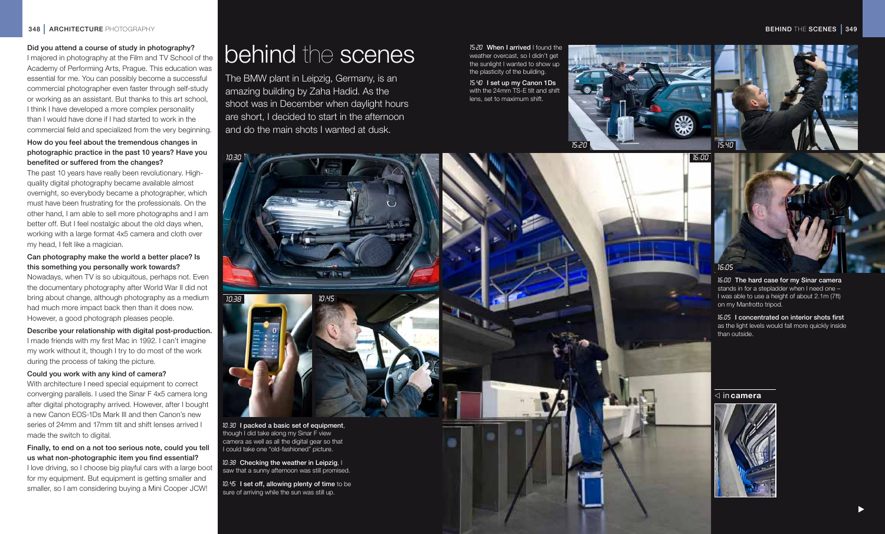I majored in photography at the Film and TV School of the Academy of Performing Arts, Prague. This education was essential for me. You can possibly become a successful commercial photographer even faster through self-study or working as an assistant. But thanks to this art school, I think I have developed a more complex personality than I would have done if I had started to work in the commercial field and specialized from the very beginning.

#### How do you feel about the tremendous changes in photographic practice in the past 10 years? Have you benefited or suffered from the changes?

The past 10 years have really been revolutionary. Highquality digital photography became available almost overnight, so everybody became a photographer, which must have been frustrating for the professionals. On the other hand, I am able to sell more photographs and I am better off. But I feel nostalgic about the old days when, working with a large format 4x5 camera and cloth over my head, I felt like a magician.

#### Can photography make the world a better place? Is this something you personally work towards?

Nowadays, when TV is so ubiquitous, perhaps not. Even the documentary photography after World War II did not bring about change, although photography as a medium had much more impact back then than it does now. However, a good photograph pleases people.

Describe your relationship with digital post-production. I made friends with my first Mac in 1992. I can't imagine my work without it, though I try to do most of the work during the process of taking the picture.

#### Could you work with any kind of camera?

With architecture I need special equipment to correct converging parallels. I used the Sinar F 4x5 camera long after digital photography arrived. However, after I bought a new Canon EOS-1Ds Mark III and then Canon's new series of 24mm and 17mm tilt and shift lenses arrived I made the switch to digital.

#### Finally, to end on a not too serious note, could you tell us what non-photographic item you find essential?

I love driving, so I choose big playful cars with a large boot for my equipment. But equipment is getting smaller and smaller, so I am considering buying a Mini Cooper JCW!

## Did you attend a course of study in photography?<br>I majored in photography at the Film and TV School of the **Dehind**  $\parallel$

The BMW plant in Leipzig, Germany, is an amazing building by Zaha Hadid. As the shoot was in December when daylight hours are short, I decided to start in the afternoon and do the main shots I wanted at dusk.

 $-10.000$  m/m

10:30

15:20 When I arrived I found the weather overcast, so I didn't get the sunlight I wanted to show up the plasticity of the building.

15:40 I set up my Canon 1Ds with the 24mm TS-F tilt and shift lens, set to maximum shift.





16:00 The hard case for my Sinar camera<br>stands in for a stanledder when Laced and stands in for a stepladder when I need one – I was able to use a height of about 2.1m (7ft) on my Manfrotto tripod.

16:05 I concentrated on interior shots first as the light levels would fall more quickly inside than outside.

▶





10.30 I packed a basic set of equipment. though I did take along my Sinar F view camera as well as all the digital gear so that I could take one "old-fashioned" picture.

10:38 10:45 10:45 10:45 10:45 10:45 10:45 10:45 10:45 10:45 10:45 10:45 10:45 10:45 10:45 10:45 10:45 10:45 10

10:38 Checking the weather in Leipzig, I saw that a sunny afternoon was still promised.

10:45 I set off, allowing plenty of time to be sure of arriving while the sun was still up.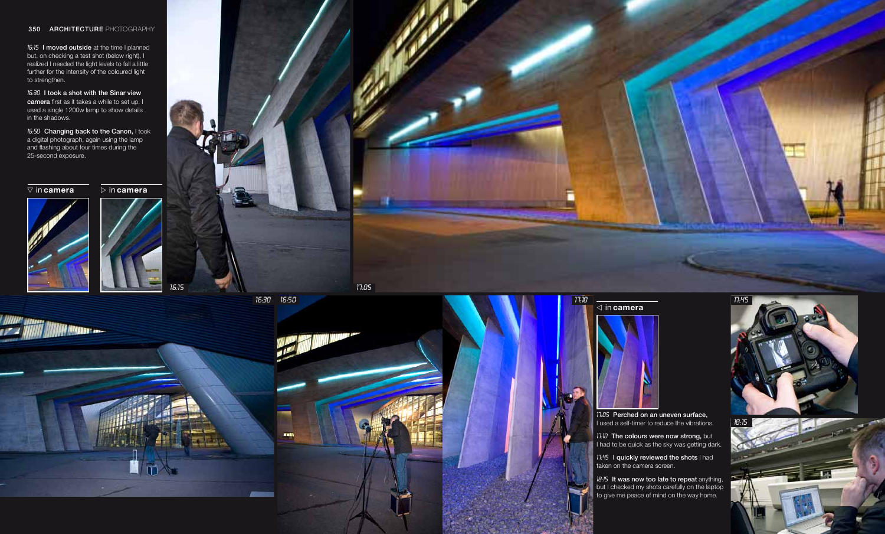#### 350 ARCHITECTURE PHOTOGRAPHY

16:15 I moved outside at the time I planned but, on checking a test shot (below right), I realized I needed the light levels to fall a little further for the intensity of the coloured light to strengthen.

16:30 I took a shot with the Sinar view camera first as it takes a while to set up. I used a single 1200w lamp to show details in the shadows.

15:50 **Changing back to the Canon,** I took<br>a digital photograph, again using the lamp and flashing about four times during the 25-second exposure.

 $\nabla$  in **camera** 













17:05 Perched on an uneven surface, I used a self-timer to reduce the vibrations.

17:10 The colours were now strong, but I had to be quick as the sky was getting dark.

17:45 I quickly reviewed the shots I had taken on the camera screen.

18:15 **It was now too late to repeat** anything,<br>but I checked my shots carefully on the laptop to give me peace of mind on the way home.